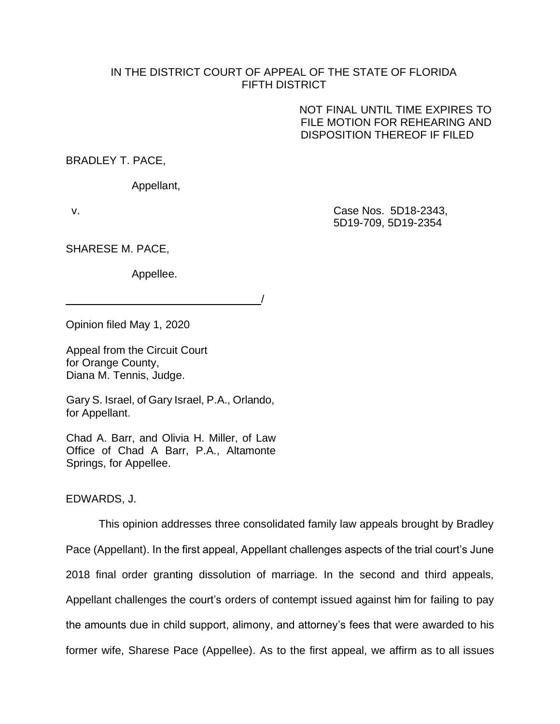## IN THE DISTRICT COURT OF APPEAL OF THE STATE OF FLORIDA FIFTH DISTRICT

/

NOT FINAL UNTIL TIME EXPIRES TO FILE MOTION FOR REHEARING AND DISPOSITION THEREOF IF FILED

BRADLEY T. PACE,

Appellant,

v. Case Nos. 5D18-2343, 5D19-709, 5D19-2354

SHARESE M. PACE,

Appellee.

Opinion filed May 1, 2020

Appeal from the Circuit Court for Orange County, Diana M. Tennis, Judge.

Gary S. Israel, of Gary Israel, P.A., Orlando, for Appellant.

Chad A. Barr, and Olivia H. Miller, of Law Office of Chad A Barr, P.A., Altamonte Springs, for Appellee.

EDWARDS, J.

This opinion addresses three consolidated family law appeals brought by Bradley Pace (Appellant). In the first appeal, Appellant challenges aspects of the trial court's June 2018 final order granting dissolution of marriage. In the second and third appeals, Appellant challenges the court's orders of contempt issued against him for failing to pay the amounts due in child support, alimony, and attorney's fees that were awarded to his former wife, Sharese Pace (Appellee). As to the first appeal, we affirm as to all issues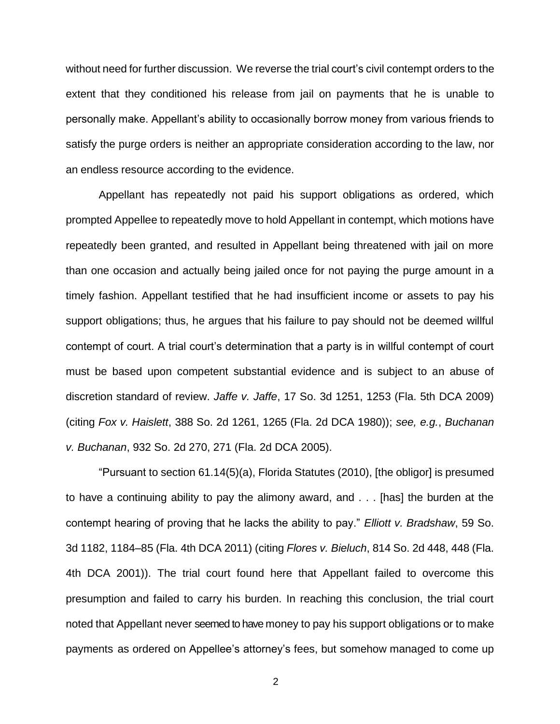without need for further discussion. We reverse the trial court's civil contempt orders to the extent that they conditioned his release from jail on payments that he is unable to personally make. Appellant's ability to occasionally borrow money from various friends to satisfy the purge orders is neither an appropriate consideration according to the law, nor an endless resource according to the evidence.

Appellant has repeatedly not paid his support obligations as ordered, which prompted Appellee to repeatedly move to hold Appellant in contempt, which motions have repeatedly been granted, and resulted in Appellant being threatened with jail on more than one occasion and actually being jailed once for not paying the purge amount in a timely fashion. Appellant testified that he had insufficient income or assets to pay his support obligations; thus, he argues that his failure to pay should not be deemed willful contempt of court. A trial court's determination that a party is in willful contempt of court must be based upon competent substantial evidence and is subject to an abuse of discretion standard of review. *Jaffe v. Jaffe*, 17 So. 3d 1251, 1253 (Fla. 5th DCA 2009) (citing *Fox v. Haislett*, 388 So. 2d 1261, 1265 (Fla. 2d DCA 1980)); *see, e.g.*, *Buchanan v. Buchanan*, 932 So. 2d 270, 271 (Fla. 2d DCA 2005).

"Pursuant to section 61.14(5)(a), Florida Statutes (2010), [the obligor] is presumed to have a continuing ability to pay the alimony award, and . . . [has] the burden at the contempt hearing of proving that he lacks the ability to pay." *Elliott v. Bradshaw*, 59 So. 3d 1182, 1184–85 (Fla. 4th DCA 2011) (citing *Flores v. Bieluch*, 814 So. 2d 448, 448 (Fla. 4th DCA 2001)). The trial court found here that Appellant failed to overcome this presumption and failed to carry his burden. In reaching this conclusion, the trial court noted that Appellant never seemed to have money to pay his support obligations or to make payments as ordered on Appellee's attorney's fees, but somehow managed to come up

2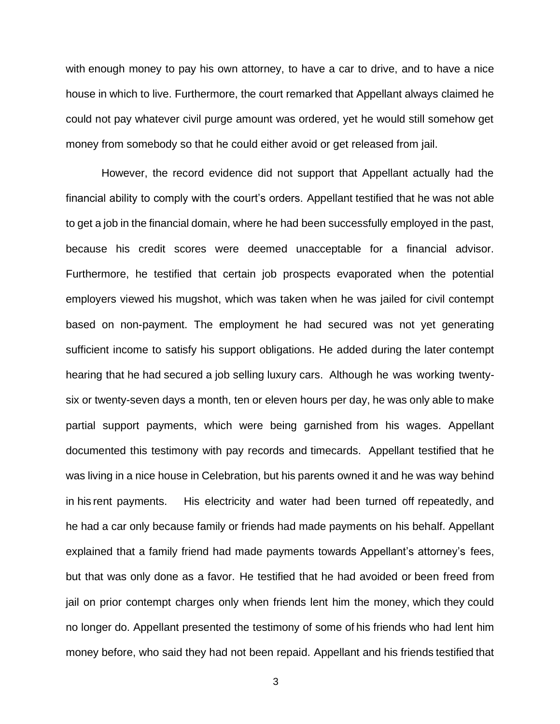with enough money to pay his own attorney, to have a car to drive, and to have a nice house in which to live. Furthermore, the court remarked that Appellant always claimed he could not pay whatever civil purge amount was ordered, yet he would still somehow get money from somebody so that he could either avoid or get released from jail.

However, the record evidence did not support that Appellant actually had the financial ability to comply with the court's orders. Appellant testified that he was not able to get a job in the financial domain, where he had been successfully employed in the past, because his credit scores were deemed unacceptable for a financial advisor. Furthermore, he testified that certain job prospects evaporated when the potential employers viewed his mugshot, which was taken when he was jailed for civil contempt based on non-payment. The employment he had secured was not yet generating sufficient income to satisfy his support obligations. He added during the later contempt hearing that he had secured a job selling luxury cars. Although he was working twentysix or twenty-seven days a month, ten or eleven hours per day, he was only able to make partial support payments, which were being garnished from his wages. Appellant documented this testimony with pay records and timecards. Appellant testified that he was living in a nice house in Celebration, but his parents owned it and he was way behind in his rent payments. His electricity and water had been turned off repeatedly, and he had a car only because family or friends had made payments on his behalf. Appellant explained that a family friend had made payments towards Appellant's attorney's fees, but that was only done as a favor. He testified that he had avoided or been freed from jail on prior contempt charges only when friends lent him the money, which they could no longer do. Appellant presented the testimony of some of his friends who had lent him money before, who said they had not been repaid. Appellant and his friends testified that

3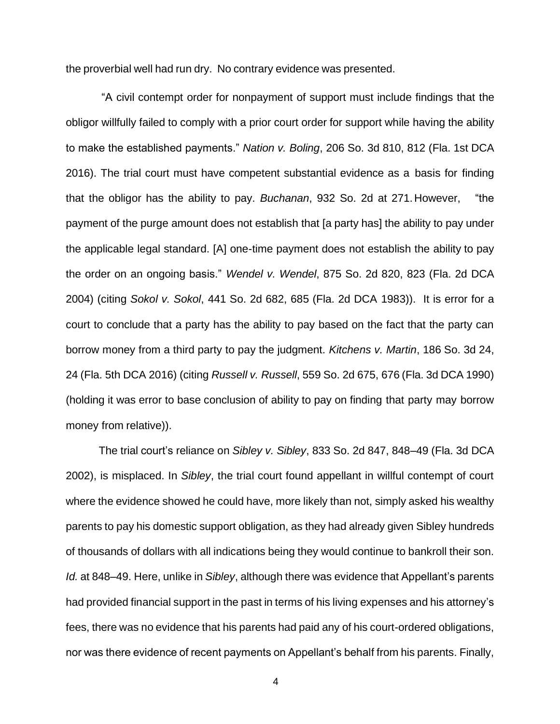the proverbial well had run dry. No contrary evidence was presented.

"A civil contempt order for nonpayment of support must include findings that the obligor willfully failed to comply with a prior court order for support while having the ability to make the established payments." *Nation v. Boling*, 206 So. 3d 810, 812 (Fla. 1st DCA 2016). The trial court must have competent substantial evidence as a basis for finding that the obligor has the ability to pay. *Buchanan*, 932 So. 2d at 271.However, "the payment of the purge amount does not establish that [a party has] the ability to pay under the applicable legal standard. [A] one-time payment does not establish the ability to pay the order on an ongoing basis." *Wendel v. Wendel*, 875 So. 2d 820, 823 (Fla. 2d DCA 2004) (citing *Sokol v. Sokol*, 441 So. 2d 682, 685 (Fla. 2d DCA 1983)). It is error for a court to conclude that a party has the ability to pay based on the fact that the party can borrow money from a third party to pay the judgment. *Kitchens v. Martin*, 186 So. 3d 24, 24 (Fla. 5th DCA 2016) (citing *Russell v. Russell*, 559 So. 2d 675, 676 (Fla. 3d DCA 1990) (holding it was error to base conclusion of ability to pay on finding that party may borrow money from relative)).

The trial court's reliance on *Sibley v. Sibley*, 833 So. 2d 847, 848–49 (Fla. 3d DCA 2002), is misplaced. In *Sibley*, the trial court found appellant in willful contempt of court where the evidence showed he could have, more likely than not, simply asked his wealthy parents to pay his domestic support obligation, as they had already given Sibley hundreds of thousands of dollars with all indications being they would continue to bankroll their son. *Id.* at 848–49. Here, unlike in *Sibley*, although there was evidence that Appellant's parents had provided financial support in the past in terms of his living expenses and his attorney's fees, there was no evidence that his parents had paid any of his court-ordered obligations, nor was there evidence of recent payments on Appellant's behalf from his parents. Finally,

4